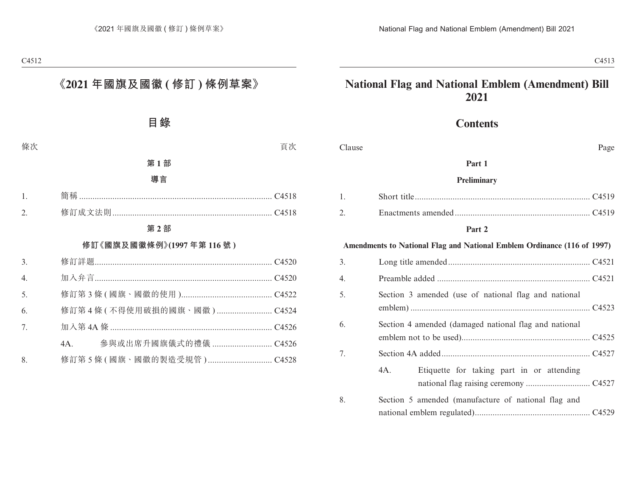# **National Flag and National Emblem (Amendment) Bill 2021**

# **Contents**

| Clause |                                                                         | Page |
|--------|-------------------------------------------------------------------------|------|
|        | Part 1                                                                  |      |
|        | Preliminary                                                             |      |
| 1.     |                                                                         |      |
| 2.     |                                                                         |      |
|        | Part 2                                                                  |      |
|        | Amendments to National Flag and National Emblem Ordinance (116 of 1997) |      |
| 3.     |                                                                         |      |
| 4.     |                                                                         |      |
| 5.     | Section 3 amended (use of national flag and national                    |      |
| 6.     | Section 4 amended (damaged national flag and national                   |      |
| 7.     |                                                                         |      |
|        | 4A.<br>Etiquette for taking part in or attending                        |      |
| 8.     | Section 5 amended (manufacture of national flag and                     |      |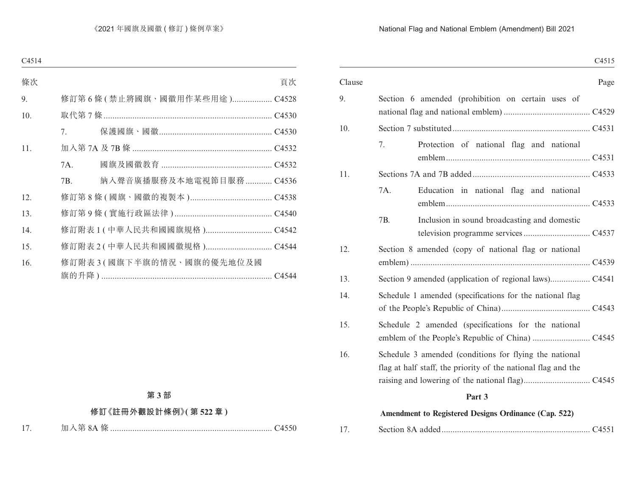### National Flag and National Emblem (Amendment) Bill 2021

|        |                                                               | C4515 |
|--------|---------------------------------------------------------------|-------|
| Clause |                                                               | Page  |
| 9.     | Section 6 amended (prohibition on certain uses of             |       |
|        |                                                               |       |
| 10.    |                                                               |       |
|        | Protection of national flag and national<br>7.                |       |
|        |                                                               |       |
| 11.    |                                                               |       |
|        | 7A.<br>Education in national flag and national                |       |
|        | 7B.<br>Inclusion in sound broadcasting and domestic           |       |
|        |                                                               |       |
| 12.    | Section 8 amended (copy of national flag or national          |       |
|        |                                                               |       |
| 13.    |                                                               |       |
| 14.    | Schedule 1 amended (specifications for the national flag      |       |
|        |                                                               |       |
| 15.    | Schedule 2 amended (specifications for the national           |       |
|        |                                                               |       |
| 16.    | Schedule 3 amended (conditions for flying the national        |       |
|        | flag at half staff, the priority of the national flag and the |       |
|        |                                                               |       |
|        | Part 3                                                        |       |
|        | Amendment to Registered Designs Ordinance (Cap. 522)          |       |

| 17. |  |
|-----|--|
|-----|--|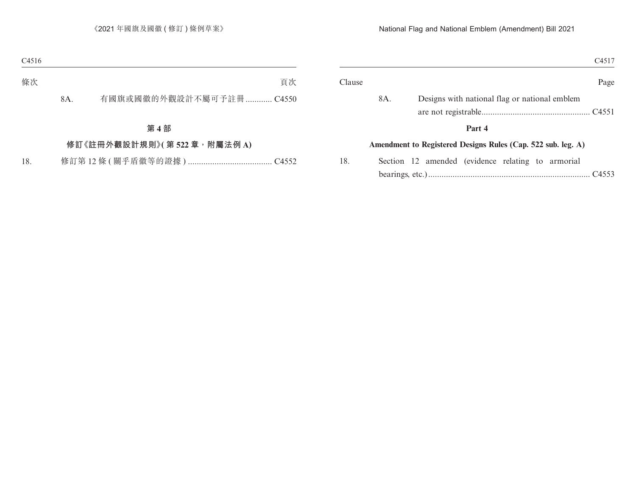|                                                              | C <sub>4517</sub> |
|--------------------------------------------------------------|-------------------|
|                                                              | Page              |
| Designs with national flag or national emblem                |                   |
| Part 4                                                       |                   |
| Amendment to Registered Designs Rules (Cap. 522 sub. leg. A) |                   |
| Section 12 amended (evidence relating to armorial            |                   |
|                                                              |                   |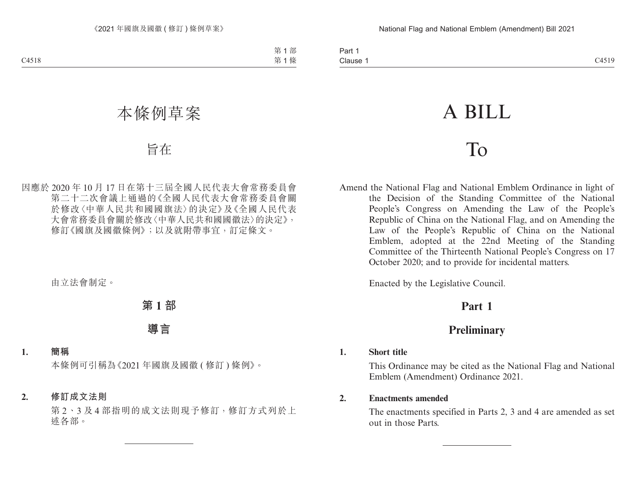# A BILL

# To

Amend the National Flag and National Emblem Ordinance in light of the Decision of the Standing Committee of the National People's Congress on Amending the Law of the People's Republic of China on the National Flag, and on Amending the Law of the People's Republic of China on the National Emblem, adopted at the 22nd Meeting of the Standing Committee of the Thirteenth National People's Congress on 17 October 2020; and to provide for incidental matters.

Enacted by the Legislative Council.

# **Part 1**

# **Preliminary**

#### **1. Short title**

This Ordinance may be cited as the National Flag and National Emblem (Amendment) Ordinance 2021.

#### **2. Enactments amended**

The enactments specified in Parts 2, 3 and 4 are amended as set out in those Parts.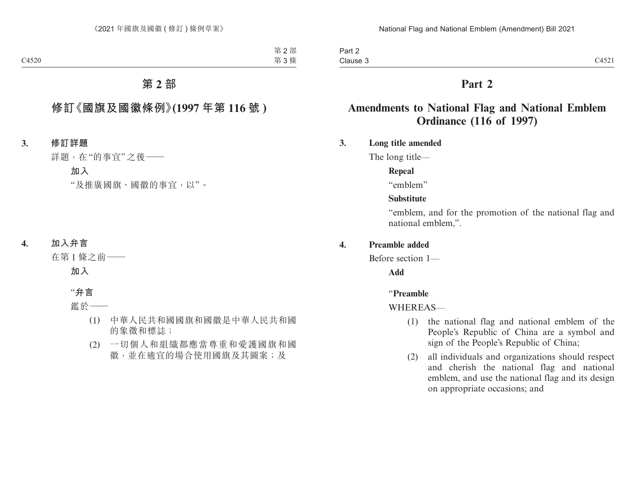# **Part 2**

# **Amendments to National Flag and National Emblem Ordinance (116 of 1997)**

#### **3. Long title amended**

The long title—

#### **Repeal**

"emblem"

#### **Substitute**

"emblem, and for the promotion of the national flag and national emblem,".

#### **4. Preamble added**

Before section 1—

**Add**

#### "**Preamble**

#### WHEREAS—

- (1) the national flag and national emblem of the People's Republic of China are a symbol and sign of the People's Republic of China;
- (2) all individuals and organizations should respect and cherish the national flag and national emblem, and use the national flag and its design on appropriate occasions; and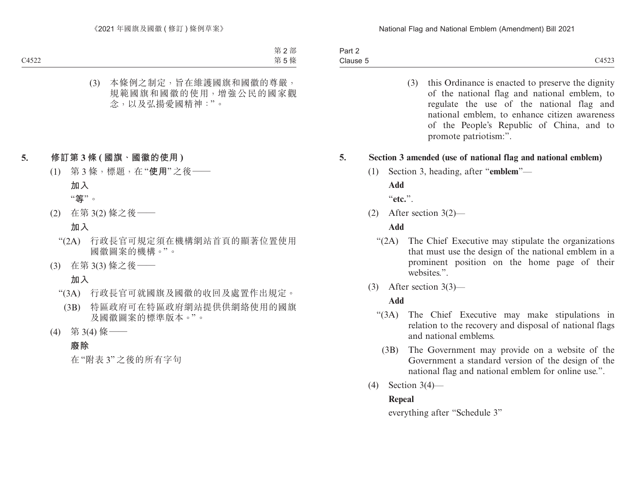| $\sim$<br>-<br>Part 2                                                                                                     |                                 |
|---------------------------------------------------------------------------------------------------------------------------|---------------------------------|
| Clause<br>the contract of the contract of the contract of the contract of the contract of the contract of the contract of | CAPO<br>$\mathcal{A}$<br>ヘンコンムコ |

(3) this Ordinance is enacted to preserve the dignity of the national flag and national emblem, to regulate the use of the national flag and national emblem, to enhance citizen awareness of the People's Republic of China, and to promote patriotism:".

#### **5. Section 3 amended (use of national flag and national emblem)**

(1) Section 3, heading, after "**emblem**"—

**Add**

"**etc.**".

(2) After section 3(2)—

#### **Add**

- "(2A) The Chief Executive may stipulate the organizations that must use the design of the national emblem in a prominent position on the home page of their websites.".
- (3) After section 3(3)—

#### **Add**

- "(3A) The Chief Executive may make stipulations in relation to the recovery and disposal of national flags and national emblems.
	- (3B) The Government may provide on a website of the Government a standard version of the design of the national flag and national emblem for online use.".
- (4) Section 3(4)—

# **Repeal**

everything after "Schedule 3"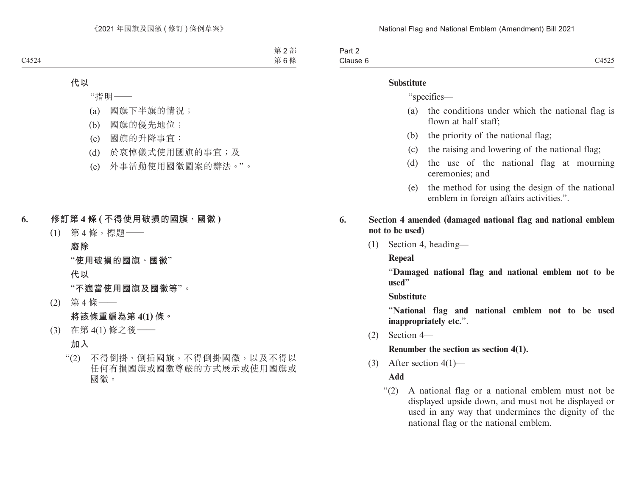| Part ∠   |                  |
|----------|------------------|
| Clause 6 | 1524<br>ـہ ہے تπ |

#### **Substitute**

"specifies—

- (a) the conditions under which the national flag is flown at half staff;
- (b) the priority of the national flag;
- (c) the raising and lowering of the national flag;
- (d) the use of the national flag at mourning ceremonies; and
- (e) the method for using the design of the national emblem in foreign affairs activities.".
- **6. Section 4 amended (damaged national flag and national emblem not to be used)**
	- (1) Section 4, heading—

**Repeal**

"**Damaged national flag and national emblem not to be used**"

**Substitute**

"**National flag and national emblem not to be used inappropriately etc.**".

(2) Section 4—

**Renumber the section as section 4(1).**

(3) After section  $4(1)$ —

**Add**

"(2) A national flag or a national emblem must not be displayed upside down, and must not be displayed or used in any way that undermines the dignity of the national flag or the national emblem.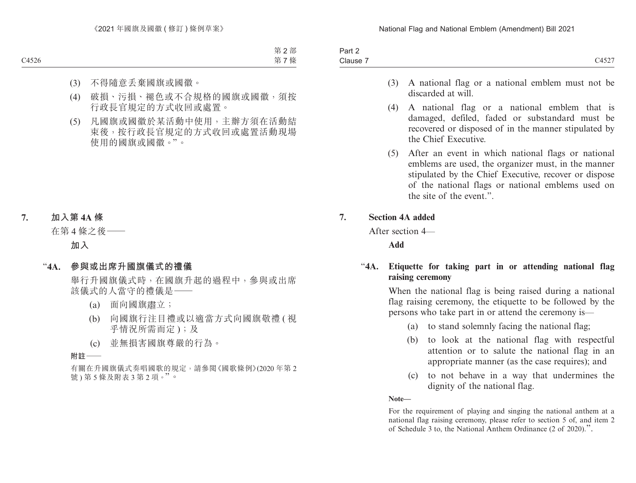| $J \cap r$<br>ail Z |                     |
|---------------------|---------------------|
| $\sim$<br>Clause 7  | 0.1507<br>. .<br>ℸึ |

- (3) A national flag or a national emblem must not be discarded at will.
- (4) A national flag or a national emblem that is damaged, defiled, faded or substandard must be recovered or disposed of in the manner stipulated by the Chief Executive.
- (5) After an event in which national flags or national emblems are used, the organizer must, in the manner stipulated by the Chief Executive, recover or dispose of the national flags or national emblems used on the site of the event."

#### **7. Section 4A added**

After section 4—

**Add**

## "**4A. Etiquette for taking part in or attending national flag raising ceremony**

When the national flag is being raised during a national flag raising ceremony, the etiquette to be followed by the persons who take part in or attend the ceremony is—

- (a) to stand solemnly facing the national flag;
- (b) to look at the national flag with respectful attention or to salute the national flag in an appropriate manner (as the case requires); and
- (c) to not behave in a way that undermines the dignity of the national flag.

**Note—**

For the requirement of playing and singing the national anthem at a national flag raising ceremony, please refer to section 5 of, and item 2 of Schedule 3 to, the National Anthem Ordinance (2 of 2020).".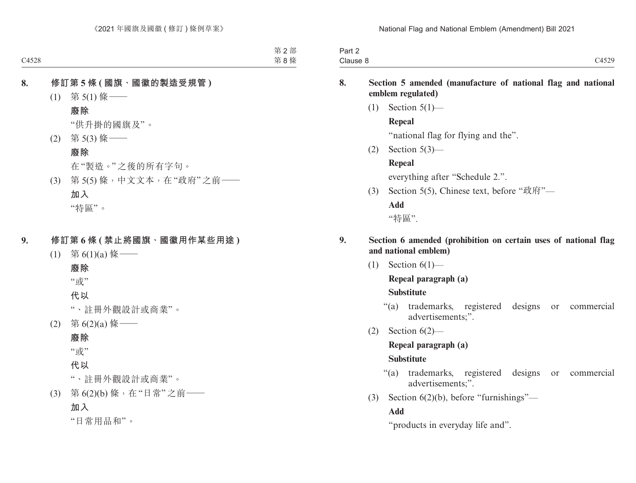| ا این م<br><b>Fail</b> |                              |
|------------------------|------------------------------|
| Clause 8               | $\bigcap$ 4520<br>-<br>◡┭◡∠ノ |

## **8. Section 5 amended (manufacture of national flag and national emblem regulated)**

 $(1)$  Section  $5(1)$ —

#### **Repeal**

"national flag for flying and the".

(2) Section 5(3)—

# **Repeal**

everything after "Schedule 2.".

(3) Section 5(5), Chinese text, before "政府"—

# **Add**

"特區".

## **9. Section 6 amended (prohibition on certain uses of national flag and national emblem)**

 $(1)$  Section  $6(1)$ —

# **Repeal paragraph (a)**

# **Substitute**

- "(a) trademarks, registered designs or commercial advertisements;".
- (2) Section 6(2)—

# **Repeal paragraph (a)**

# **Substitute**

- "(a) trademarks, registered designs or commercial advertisements;".
- (3) Section 6(2)(b), before "furnishings"—

# **Add**

"products in everyday life and".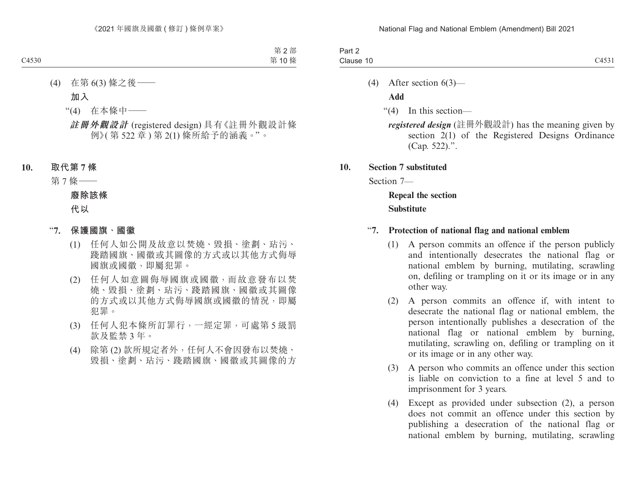| £<br>3 <sub>cm</sub><br>an z |                                                            |
|------------------------------|------------------------------------------------------------|
| -<br>Clause 10               | $\bigcap$ $\bigcap$ $\bigcap$ $\bigcap$ $\bigcap$<br>0.001 |

(4) After section 6(3)—

**Add**

"(4) In this section—

*registered design* (註冊外觀設計) has the meaning given by section 2(1) of the Registered Designs Ordinance (Cap. 522).".

**10. Section 7 substituted**

Section 7—

**Repeal the section Substitute**

#### "**7. Protection of national flag and national emblem**

- (1) A person commits an offence if the person publicly and intentionally desecrates the national flag or national emblem by burning, mutilating, scrawling on, defiling or trampling on it or its image or in any other way.
- (2) A person commits an offence if, with intent to desecrate the national flag or national emblem, the person intentionally publishes a desecration of the national flag or national emblem by burning, mutilating, scrawling on, defiling or trampling on it or its image or in any other way.
- (3) A person who commits an offence under this section is liable on conviction to a fine at level 5 and to imprisonment for 3 years.
- (4) Except as provided under subsection (2), a person does not commit an offence under this section by publishing a desecration of the national flag or national emblem by burning, mutilating, scrawling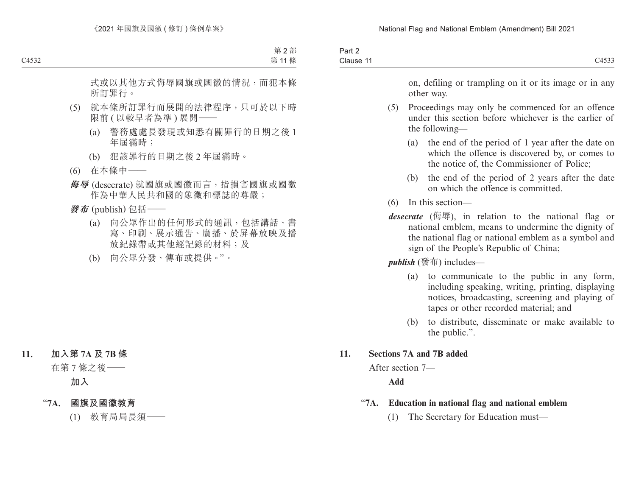| $\sim$<br>$Part \sim$ |                                                               |
|-----------------------|---------------------------------------------------------------|
| Clause 11             | $\sim$ $\sim$ $\sim$ $\sim$<br>1 A C<br>$\sim$<br>$\sim$ 1555 |

on, defiling or trampling on it or its image or in any other way.

- (5) Proceedings may only be commenced for an offence under this section before whichever is the earlier of the following—
	- (a) the end of the period of 1 year after the date on which the offence is discovered by, or comes to the notice of, the Commissioner of Police;
	- (b) the end of the period of 2 years after the date on which the offence is committed.
- (6) In this section—
- *desecrate* (侮辱), in relation to the national flag or national emblem, means to undermine the dignity of the national flag or national emblem as a symbol and sign of the People's Republic of China;

*publish* (發布) includes—

- (a) to communicate to the public in any form, including speaking, writing, printing, displaying notices, broadcasting, screening and playing of tapes or other recorded material; and
- (b) to distribute, disseminate or make available to the public.".

#### **11. Sections 7A and 7B added**

After section 7—

**Add**

- "**7A. Education in national flag and national emblem**
	- (1) The Secretary for Education must—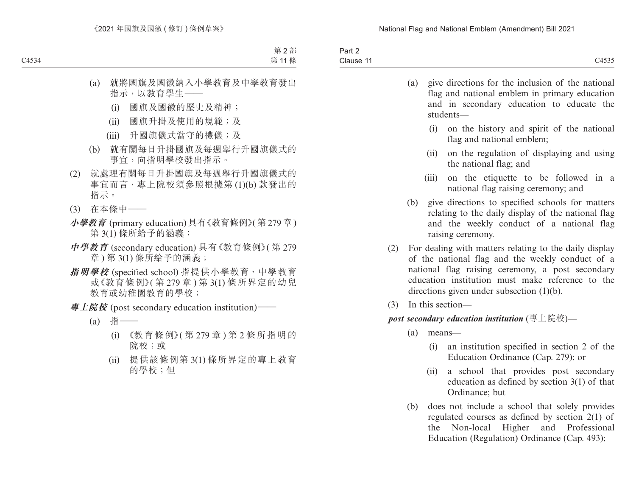| -<br>$30$ rt<br>−a⊓u∠ |                                       |
|-----------------------|---------------------------------------|
| Clause                | $\sim$ $\sim$ $\sim$ $\sim$<br>- 1000 |

| (a) | give directions for the inclusion of the national |
|-----|---------------------------------------------------|
|     | flag and national emblem in primary education     |
|     | and in secondary education to educate the         |
|     | students—                                         |
|     |                                                   |

- (i) on the history and spirit of the national flag and national emblem;
- (ii) on the regulation of displaying and using the national flag; and
- (iii) on the etiquette to be followed in a national flag raising ceremony; and
- (b) give directions to specified schools for matters relating to the daily display of the national flag and the weekly conduct of a national flag raising ceremony.
- (2) For dealing with matters relating to the daily display of the national flag and the weekly conduct of a national flag raising ceremony, a post secondary education institution must make reference to the directions given under subsection (1)(b).
- (3) In this section—

#### *post secondary education institution* (專上院校)—

- (a) means—
	- (i) an institution specified in section 2 of the Education Ordinance (Cap. 279); or
	- (ii) a school that provides post secondary education as defined by section 3(1) of that Ordinance; but
- (b) does not include a school that solely provides regulated courses as defined by section 2(1) of the Non-local Higher and Professional Education (Regulation) Ordinance (Cap. 493);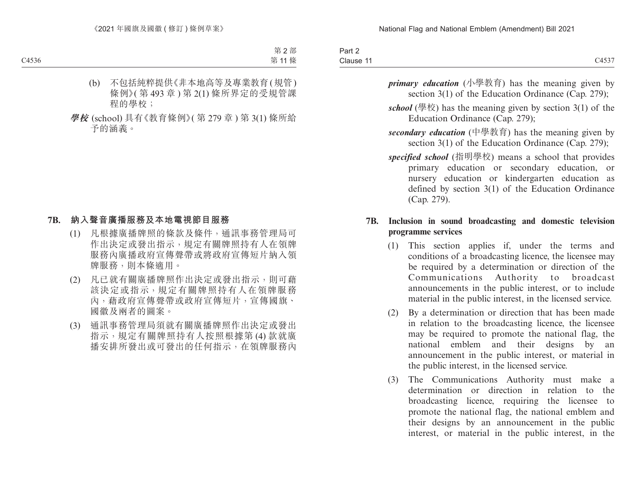| Part 2    |       |
|-----------|-------|
| Clause 11 | C4537 |

- *primary education* (小學教育) has the meaning given by section 3(1) of the Education Ordinance (Cap. 279);
- *school* (學校) has the meaning given by section 3(1) of the Education Ordinance (Cap. 279);
- *secondary education* (中學教育) has the meaning given by section 3(1) of the Education Ordinance (Cap. 279);
- *specified school* (指明學校) means a school that provides primary education or secondary education, or nursery education or kindergarten education as defined by section 3(1) of the Education Ordinance (Cap. 279).

## **7B. Inclusion in sound broadcasting and domestic television programme services**

- (1) This section applies if, under the terms and conditions of a broadcasting licence, the licensee may be required by a determination or direction of the Communications Authority to broadcast announcements in the public interest, or to include material in the public interest, in the licensed service.
- (2) By a determination or direction that has been made in relation to the broadcasting licence, the licensee may be required to promote the national flag, the national emblem and their designs by an announcement in the public interest, or material in the public interest, in the licensed service.
- (3) The Communications Authority must make a determination or direction in relation to the broadcasting licence, requiring the licensee to promote the national flag, the national emblem and their designs by an announcement in the public interest, or material in the public interest, in the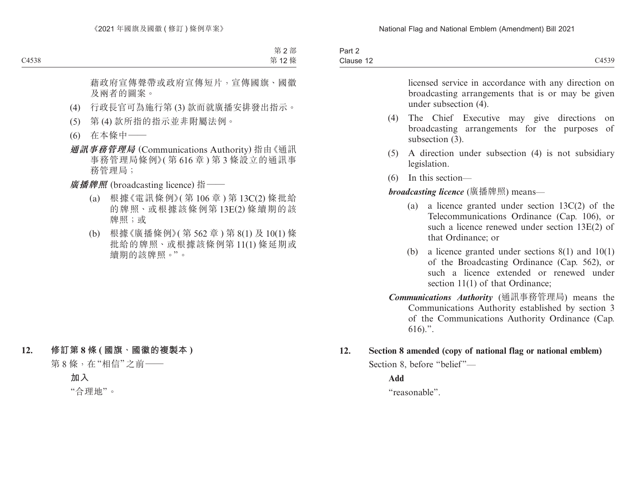| $\overline{\phantom{0}}$<br>Dort<br>Pall Z |                                        |
|--------------------------------------------|----------------------------------------|
| Clause 12                                  | $^{\circ}4539$<br>$\cup$ $\cup$ $\cup$ |

licensed service in accordance with any direction on broadcasting arrangements that is or may be given under subsection (4).

- (4) The Chief Executive may give directions on broadcasting arrangements for the purposes of subsection  $(3)$ .
- (5) A direction under subsection (4) is not subsidiary legislation.
- (6) In this section—

*broadcasting licence* (廣播牌照) means—

- (a) a licence granted under section 13C(2) of the Telecommunications Ordinance (Cap. 106), or such a licence renewed under section 13E(2) of that Ordinance; or
- (b) a licence granted under sections 8(1) and 10(1) of the Broadcasting Ordinance (Cap. 562), or such a licence extended or renewed under section 11(1) of that Ordinance;
- *Communications Authority* (通訊事務管理局) means the Communications Authority established by section 3 of the Communications Authority Ordinance (Cap. 616).".
- **12. Section 8 amended (copy of national flag or national emblem)**

Section 8, before "belief"—

**Add**

"reasonable".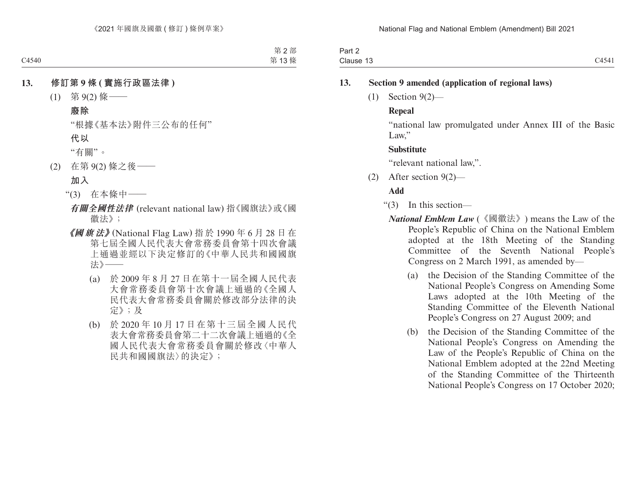| Part ∠      |                                |
|-------------|--------------------------------|
| Clause<br>. | $-1$ $-1$ $-$<br>NД<br>・・・ー・・・ |

### **13. Section 9 amended (application of regional laws)**

(1) Section 9(2)—

#### **Repeal**

"national law promulgated under Annex III of the Basic Law."

#### **Substitute**

"relevant national law,".

(2) After section 9(2)—

## **Add**

- "(3) In this section—
	- *National Emblem Law* (《國徽法》) means the Law of the People's Republic of China on the National Emblem adopted at the 18th Meeting of the Standing Committee of the Seventh National People's Congress on 2 March 1991, as amended by—
		- (a) the Decision of the Standing Committee of the National People's Congress on Amending Some Laws adopted at the 10th Meeting of the Standing Committee of the Eleventh National People's Congress on 27 August 2009; and
		- (b) the Decision of the Standing Committee of the National People's Congress on Amending the Law of the People's Republic of China on the National Emblem adopted at the 22nd Meeting of the Standing Committee of the Thirteenth National People's Congress on 17 October 2020;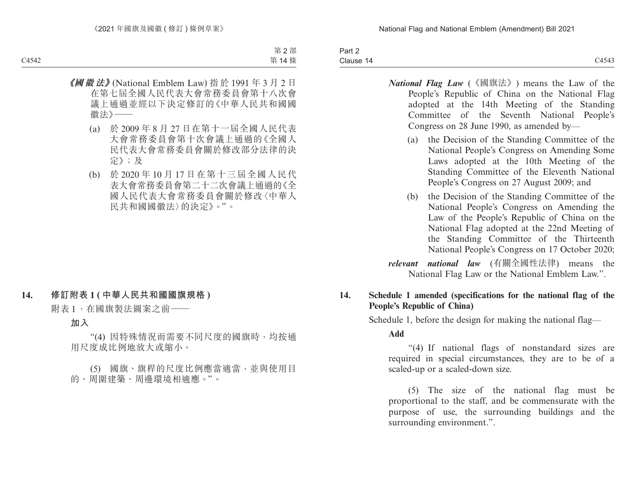| Part 2 |       |
|--------|-------|
| Clause | C4543 |

- *National Flag Law* (《國旗法》) means the Law of the People's Republic of China on the National Flag adopted at the 14th Meeting of the Standing Committee of the Seventh National People's Congress on 28 June 1990, as amended by—
	- (a) the Decision of the Standing Committee of the National People's Congress on Amending Some Laws adopted at the 10th Meeting of the Standing Committee of the Eleventh National People's Congress on 27 August 2009; and
	- (b) the Decision of the Standing Committee of the National People's Congress on Amending the Law of the People's Republic of China on the National Flag adopted at the 22nd Meeting of the Standing Committee of the Thirteenth National People's Congress on 17 October 2020;

*relevant national law* (有關全國性法律) means the National Flag Law or the National Emblem Law.".

## **14. Schedule 1 amended (specifications for the national flag of the People's Republic of China)**

Schedule 1, before the design for making the national flag—

**Add**

"(4) If national flags of nonstandard sizes are required in special circumstances, they are to be of a scaled-up or a scaled-down size.

(5) The size of the national flag must be proportional to the staff, and be commensurate with the purpose of use, the surrounding buildings and the surrounding environment.".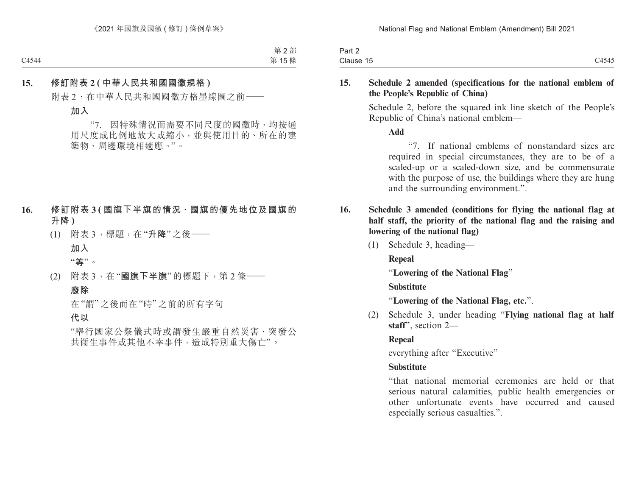| Part 2                        |                |
|-------------------------------|----------------|
| $\sim$<br>$\sim$<br>Clause 15 | C4545<br>しサノサノ |

#### **15. Schedule 2 amended (specifications for the national emblem of the People's Republic of China)**

Schedule 2, before the squared ink line sketch of the People's Republic of China's national emblem—

**Add**

"7. If national emblems of nonstandard sizes are required in special circumstances, they are to be of a scaled-up or a scaled-down size, and be commensurate with the purpose of use, the buildings where they are hung and the surrounding environment.".

- **16. Schedule 3 amended (conditions for flying the national flag at half staff, the priority of the national flag and the raising and lowering of the national flag)**
	- (1) Schedule 3, heading—

**Repeal**

"**Lowering of the National Flag**"

**Substitute**

"**Lowering of the National Flag, etc.**".

(2) Schedule 3, under heading "**Flying national flag at half staff**", section 2—

# **Repeal**

everything after "Executive"

# **Substitute**

"that national memorial ceremonies are held or that serious natural calamities, public health emergencies or other unfortunate events have occurred and caused especially serious casualties.".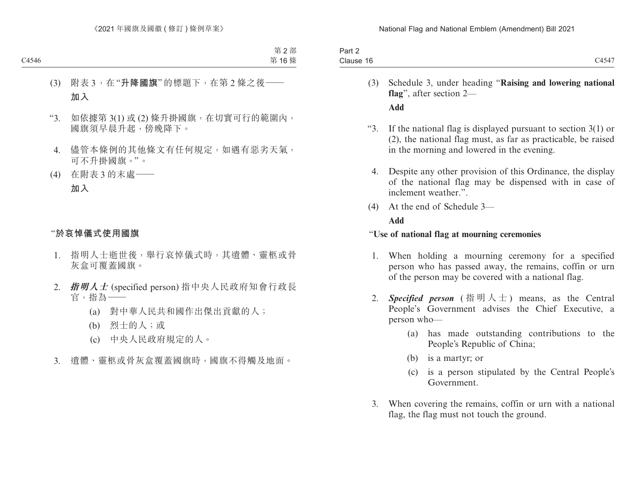| $\cdot$ $ \cdot$ $-$<br>Clause<br>16<br>434<br>$\overline{\phantom{0}}$ | $J \cap r$<br>an z |  |
|-------------------------------------------------------------------------|--------------------|--|
|                                                                         |                    |  |

- (3) Schedule 3, under heading "**Raising and lowering national flag**", after section 2— **Add**
- "3. If the national flag is displayed pursuant to section 3(1) or (2), the national flag must, as far as practicable, be raised in the morning and lowered in the evening.
	- 4. Despite any other provision of this Ordinance, the display of the national flag may be dispensed with in case of inclement weather.".
- (4) At the end of Schedule 3—

#### **Add**

#### "**Use of national flag at mourning ceremonies**

- 1. When holding a mourning ceremony for a specified person who has passed away, the remains, coffin or urn of the person may be covered with a national flag.
- 2. *Specified person* (指明人士) means, as the Central People's Government advises the Chief Executive, a person who—
	- (a) has made outstanding contributions to the People's Republic of China;
	- (b) is a martyr; or
	- (c) is a person stipulated by the Central People's Government.
- 3. When covering the remains, coffin or urn with a national flag, the flag must not touch the ground.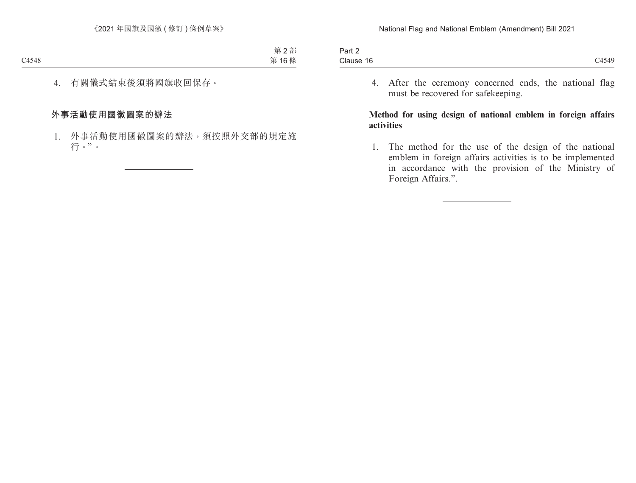| $.$ $.1$ $ -$<br>$\sim$<br>411L       |       |
|---------------------------------------|-------|
| $\overline{\phantom{a}}$<br>Clause 16 | C4549 |

4. After the ceremony concerned ends, the national flag must be recovered for safekeeping.

#### **Method for using design of national emblem in foreign affairs activities**

1. The method for the use of the design of the national emblem in foreign affairs activities is to be implemented in accordance with the provision of the Ministry of Foreign Affairs.".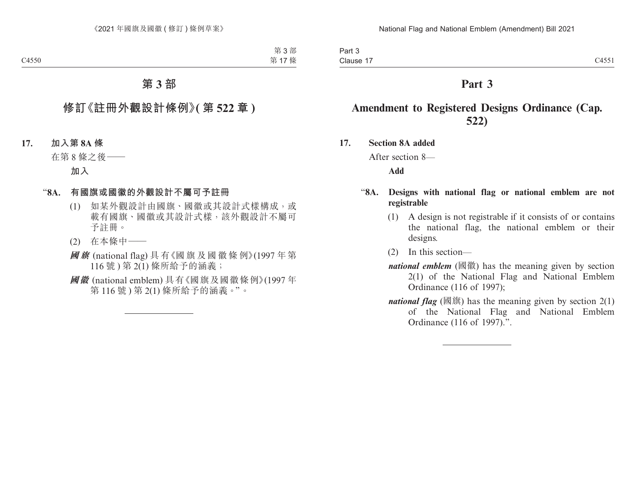# **Part 3**

# **Amendment to Registered Designs Ordinance (Cap. 522)**

**17. Section 8A added**

After section 8—

**Add**

## "**8A. Designs with national flag or national emblem are not registrable**

- (1) A design is not registrable if it consists of or contains the national flag, the national emblem or their designs.
- (2) In this section—
- *national emblem* (國徽) has the meaning given by section 2(1) of the National Flag and National Emblem Ordinance (116 of 1997);
- *national flag* (國旗) has the meaning given by section  $2(1)$ of the National Flag and National Emblem Ordinance (116 of 1997).".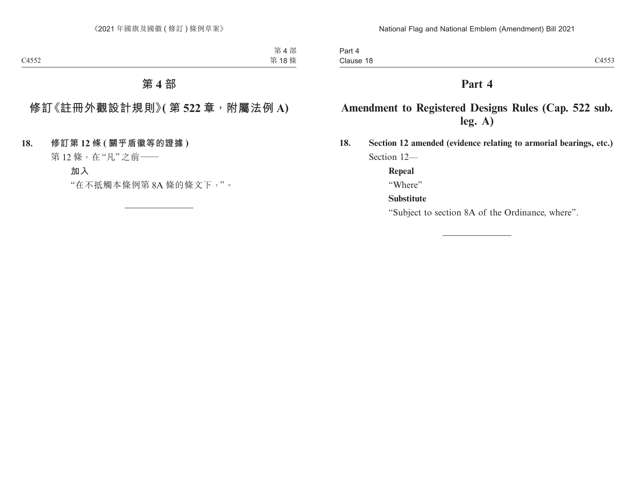# **Part 4**

# **Amendment to Registered Designs Rules (Cap. 522 sub. leg. A)**

**18. Section 12 amended (evidence relating to armorial bearings, etc.)** Section 12—

**Repeal**

"Where"

# **Substitute**

"Subject to section 8A of the Ordinance, where".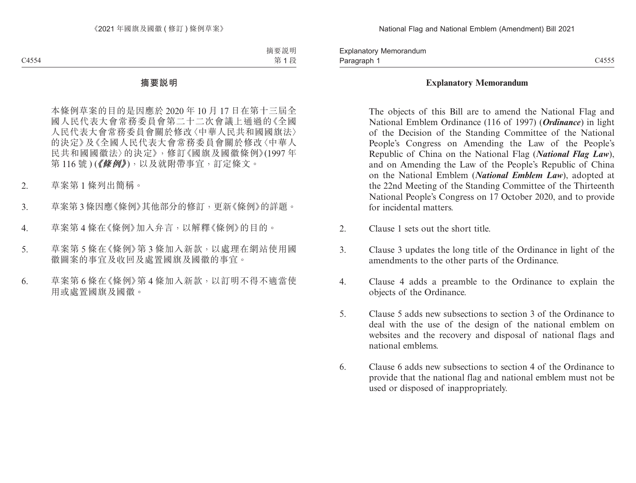Paragraph 1 and 2006 and 2007 and 2007 and 2008 and 2007 and 2008 and 2012 and 2013 and 2014 and 2014 and 2014 Explanatory Memorandum Paragraph 1

#### **Explanatory Memorandum**

The objects of this Bill are to amend the National Flag and National Emblem Ordinance (116 of 1997) (*Ordinance*) in light of the Decision of the Standing Committee of the National People's Congress on Amending the Law of the People's Republic of China on the National Flag (*National Flag Law*), and on Amending the Law of the People's Republic of China on the National Emblem (*National Emblem Law*), adopted at the 22nd Meeting of the Standing Committee of the Thirteenth National People's Congress on 17 October 2020, and to provide for incidental matters.

- 2. Clause 1 sets out the short title.
- 3. Clause 3 updates the long title of the Ordinance in light of the amendments to the other parts of the Ordinance.
- 4. Clause 4 adds a preamble to the Ordinance to explain the objects of the Ordinance.
- 5. Clause 5 adds new subsections to section 3 of the Ordinance to deal with the use of the design of the national emblem on websites and the recovery and disposal of national flags and national emblems.
- 6. Clause 6 adds new subsections to section 4 of the Ordinance to provide that the national flag and national emblem must not be used or disposed of inappropriately.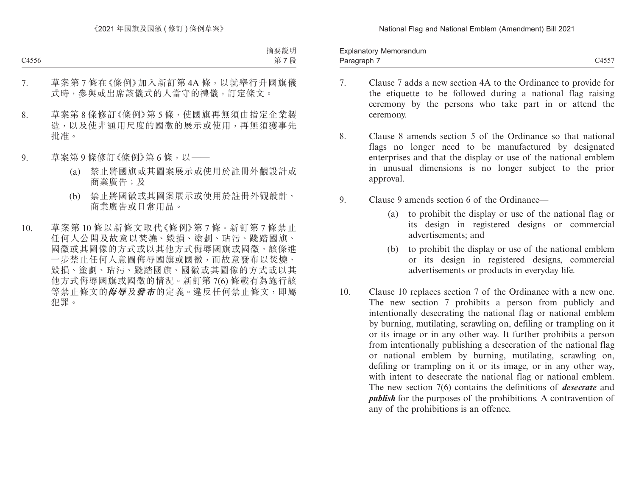Paragraph 7 and 2006 C4557 C4557 C4557 Explanatory Memorandum Paragraph 7

- 7. Clause 7 adds a new section 4A to the Ordinance to provide for the etiquette to be followed during a national flag raising ceremony by the persons who take part in or attend the ceremony.
- 8. Clause 8 amends section 5 of the Ordinance so that national flags no longer need to be manufactured by designated enterprises and that the display or use of the national emblem in unusual dimensions is no longer subject to the prior approval.
- 9. Clause 9 amends section 6 of the Ordinance—
	- (a) to prohibit the display or use of the national flag or its design in registered designs or commercial advertisements; and
	- (b) to prohibit the display or use of the national emblem or its design in registered designs, commercial advertisements or products in everyday life.
- 10. Clause 10 replaces section 7 of the Ordinance with a new one. The new section 7 prohibits a person from publicly and intentionally desecrating the national flag or national emblem by burning, mutilating, scrawling on, defiling or trampling on it or its image or in any other way. It further prohibits a person from intentionally publishing a desecration of the national flag or national emblem by burning, mutilating, scrawling on, defiling or trampling on it or its image, or in any other way, with intent to desecrate the national flag or national emblem. The new section 7(6) contains the definitions of *desecrate* and *publish* for the purposes of the prohibitions. A contravention of any of the prohibitions is an offence.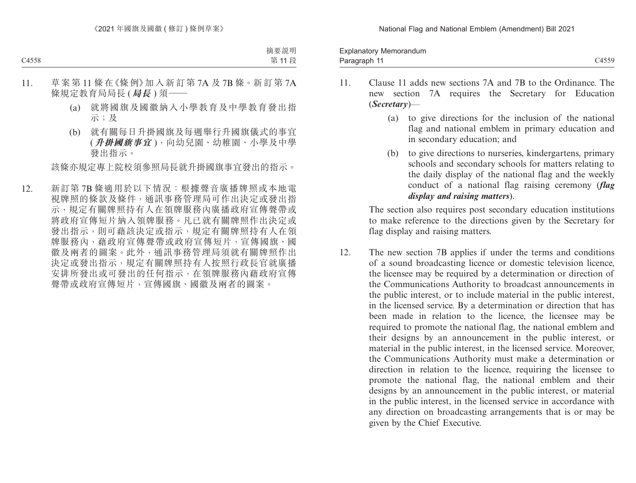Paragraph 11 and the control of the control of the control of the control of the control of the control of the control of the control of the control of the control of the control of the control of the control of the contro Explanatory Memorandum Paragraph 11

- 11. Clause 11 adds new sections 7A and 7B to the Ordinance. The new section 7A requires the Secretary for Education (*Secretary*)—
	- (a) to give directions for the inclusion of the national flag and national emblem in primary education and in secondary education; and
	- (b) to give directions to nurseries, kindergartens, primary schools and secondary schools for matters relating to the daily display of the national flag and the weekly conduct of a national flag raising ceremony (*flag display and raising matters*).

The section also requires post secondary education institutions to make reference to the directions given by the Secretary for flag display and raising matters.

12. The new section 7B applies if under the terms and conditions of a sound broadcasting licence or domestic television licence, the licensee may be required by a determination or direction of the Communications Authority to broadcast announcements in the public interest, or to include material in the public interest, in the licensed service. By a determination or direction that has been made in relation to the licence, the licensee may be required to promote the national flag, the national emblem and their designs by an announcement in the public interest, or material in the public interest, in the licensed service. Moreover, the Communications Authority must make a determination or direction in relation to the licence, requiring the licensee to promote the national flag, the national emblem and their designs by an announcement in the public interest, or material in the public interest, in the licensed service in accordance with any direction on broadcasting arrangements that is or may be given by the Chief Executive.